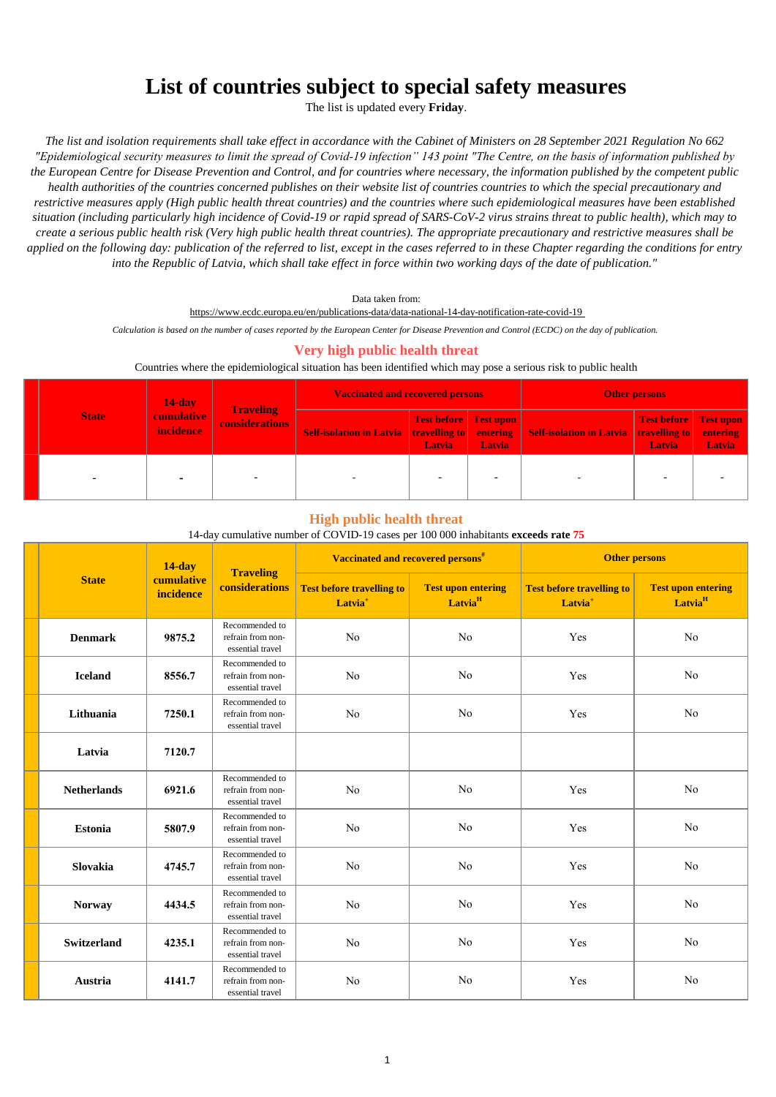# **List of countries subject to special safety measures**

The list is updated every **Friday**.

*The list and isolation requirements shall take effect in accordance with the Cabinet of Ministers on 28 September 2021 Regulation No 662 "Epidemiological security measures to limit the spread of Covid-19 infection" 143 point "The Centre, on the basis of information published by the European Centre for Disease Prevention and Control, and for countries where necessary, the information published by the competent public health authorities of the countries concerned publishes on their website list of countries countries to which the special precautionary and restrictive measures apply (High public health threat countries) and the countries where such epidemiological measures have been established situation (including particularly high incidence of Covid-19 or rapid spread of SARS-CoV-2 virus strains threat to public health), which may to create a serious public health risk (Very high public health threat countries). The appropriate precautionary and restrictive measures shall be applied on the following day: publication of the referred to list, except in the cases referred to in these Chapter regarding the conditions for entry into the Republic of Latvia, which shall take effect in force within two working days of the date of publication."*

Data taken from:

https://www.ecdc.europa.eu/en/publications-data/data-national-14-day-notification-rate-covid-19

*Calculation is based on the number of cases reported by the European Center for Disease Prevention and Control (ECDC) on the day of publication.* 

## **Very high public health threat**

#### Countries where the epidemiological situation has been identified which may pose a serious risk to public health

| <b>State</b> | $14$ -day                             | <b>Traveling</b>      | <b>Vaccinated and recovered persons</b>                |                                               |               | <b>Other persons</b>                                   |                                 |        |
|--------------|---------------------------------------|-----------------------|--------------------------------------------------------|-----------------------------------------------|---------------|--------------------------------------------------------|---------------------------------|--------|
|              | <b>cumulative</b><br><i>incidence</i> | <b>considerations</b> | <b>Self-isolation in Latvia travelling to entering</b> | <b>Test before</b> Test upon<br><b>Latvia</b> | <b>Latvia</b> | <b>Self-isolation in Latvia travelling to entering</b> | Test before Test upon<br>Latvia | Latvia |
|              |                                       |                       |                                                        |                                               |               |                                                        |                                 |        |

#### **High public health threat**

#### 14-day cumulative number of COVID-19 cases per 100 000 inhabitants **exceeds rate 75**

|                    | $14$ -day               |                                                         | Vaccinated and recovered persons <sup>#</sup>           |                                                  |                                                         | <b>Other persons</b>                             |
|--------------------|-------------------------|---------------------------------------------------------|---------------------------------------------------------|--------------------------------------------------|---------------------------------------------------------|--------------------------------------------------|
| <b>State</b>       | cumulative<br>incidence | <b>Traveling</b><br>considerations                      | <b>Test before travelling to</b><br>Latvia <sup>+</sup> | <b>Test upon entering</b><br>Latvia <sup>H</sup> | <b>Test before travelling to</b><br>Latvia <sup>+</sup> | <b>Test upon entering</b><br>Latvia <sup>H</sup> |
| <b>Denmark</b>     | 9875.2                  | Recommended to<br>refrain from non-<br>essential travel | No                                                      | N <sub>o</sub>                                   | Yes                                                     | No                                               |
| <b>Iceland</b>     | 8556.7                  | Recommended to<br>refrain from non-<br>essential travel | N <sub>o</sub>                                          | N <sub>o</sub>                                   | Yes                                                     | No                                               |
| Lithuania          | 7250.1                  | Recommended to<br>refrain from non-<br>essential travel | No                                                      | N <sub>o</sub>                                   | Yes                                                     | No                                               |
| Latvia             | 7120.7                  |                                                         |                                                         |                                                  |                                                         |                                                  |
| <b>Netherlands</b> | 6921.6                  | Recommended to<br>refrain from non-<br>essential travel | N <sub>o</sub>                                          | N <sub>o</sub>                                   | Yes                                                     | N <sub>o</sub>                                   |
| <b>Estonia</b>     | 5807.9                  | Recommended to<br>refrain from non-<br>essential travel | No                                                      | No                                               | Yes                                                     | No                                               |
| <b>Slovakia</b>    | 4745.7                  | Recommended to<br>refrain from non-<br>essential travel | No                                                      | N <sub>o</sub>                                   | Yes                                                     | No                                               |
| <b>Norway</b>      | 4434.5                  | Recommended to<br>refrain from non-<br>essential travel | N <sub>o</sub>                                          | No                                               | Yes                                                     | No                                               |
| <b>Switzerland</b> | 4235.1                  | Recommended to<br>refrain from non-<br>essential travel | N <sub>o</sub>                                          | No                                               | Yes                                                     | No                                               |
| Austria            | 4141.7                  | Recommended to<br>refrain from non-<br>essential travel | No                                                      | N <sub>o</sub>                                   | Yes                                                     | No                                               |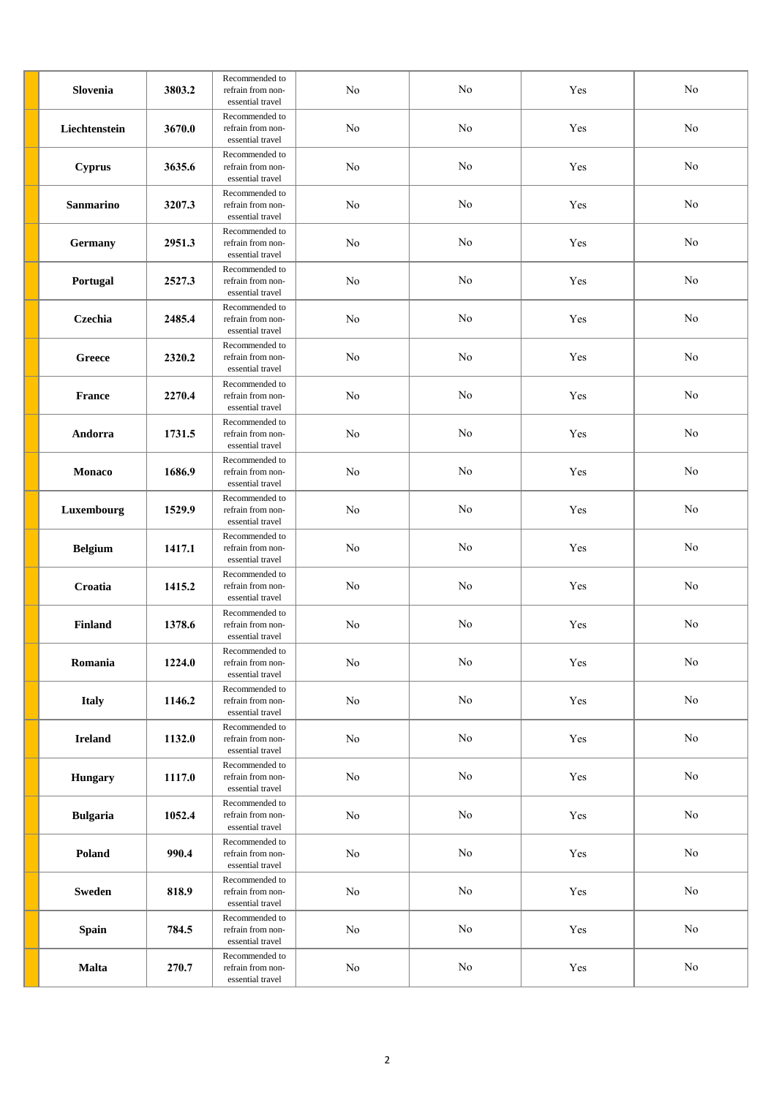| Slovenia         | 3803.2 | Recommended to<br>refrain from non-<br>essential travel | No         | No       | Yes                  | No       |
|------------------|--------|---------------------------------------------------------|------------|----------|----------------------|----------|
| Liechtenstein    | 3670.0 | Recommended to<br>refrain from non-<br>essential travel | No         | No       | Yes                  | No       |
| <b>Cyprus</b>    | 3635.6 | Recommended to<br>refrain from non-<br>essential travel | No         | No       | Yes                  | No       |
| <b>Sanmarino</b> | 3207.3 | Recommended to<br>refrain from non-<br>essential travel | No         | No       | Yes                  | No       |
| <b>Germany</b>   | 2951.3 | Recommended to<br>refrain from non-<br>essential travel | No         | No       | Yes                  | No       |
| Portugal         | 2527.3 | Recommended to<br>refrain from non-<br>essential travel | No         | No       | Yes                  | No       |
| Czechia          | 2485.4 | Recommended to<br>refrain from non-<br>essential travel | No         | $\rm No$ | Yes                  | $\rm No$ |
| Greece           | 2320.2 | Recommended to<br>refrain from non-<br>essential travel | No         | No       | Yes                  | No       |
| France           | 2270.4 | Recommended to<br>refrain from non-<br>essential travel | No         | $\rm No$ | Yes                  | No       |
| Andorra          | 1731.5 | Recommended to<br>refrain from non-<br>essential travel | No         | No       | Yes                  | No       |
| Monaco           | 1686.9 | Recommended to<br>refrain from non-<br>essential travel | No         | No       | Yes                  | No       |
| Luxembourg       | 1529.9 | Recommended to<br>refrain from non-<br>essential travel | No         | No       | Yes                  | No       |
| <b>Belgium</b>   | 1417.1 | Recommended to<br>refrain from non-<br>essential travel | No         | No       | Yes                  | No       |
| Croatia          | 1415.2 | Recommended to<br>refrain from non-<br>essential travel | No         | No       | Yes                  | No       |
| <b>Finland</b>   | 1378.6 | Recommended to<br>refrain from non-<br>essential travel | No         | No       | Yes                  | No       |
| Romania          | 1224.0 | Recommended to<br>refrain from non-<br>essential travel | ${\rm No}$ | $\rm No$ | Yes                  | $\rm No$ |
| <b>Italy</b>     | 1146.2 | Recommended to<br>refrain from non-<br>essential travel | ${\rm No}$ | $\rm No$ | $\operatorname{Yes}$ | $\rm No$ |
| <b>Ireland</b>   | 1132.0 | Recommended to<br>refrain from non-<br>essential travel | $\rm No$   | $\rm No$ | Yes                  | $\rm No$ |
| Hungary          | 1117.0 | Recommended to<br>refrain from non-<br>essential travel | $\rm No$   | No       | Yes                  | $\rm No$ |
| <b>Bulgaria</b>  | 1052.4 | Recommended to<br>refrain from non-<br>essential travel | $\rm No$   | No       | Yes                  | $\rm No$ |
| Poland           | 990.4  | Recommended to<br>refrain from non-<br>essential travel | $\rm No$   | $\rm No$ | Yes                  | $\rm No$ |
| <b>Sweden</b>    | 818.9  | Recommended to<br>refrain from non-<br>essential travel | $\rm No$   | $\rm No$ | $\operatorname{Yes}$ | $\rm No$ |
| <b>Spain</b>     | 784.5  | Recommended to<br>refrain from non-<br>essential travel | $\rm No$   | $\rm No$ | Yes                  | $\rm No$ |
| <b>Malta</b>     | 270.7  | Recommended to<br>refrain from non-<br>essential travel | $\rm No$   | $\rm No$ | $\operatorname{Yes}$ | $\rm No$ |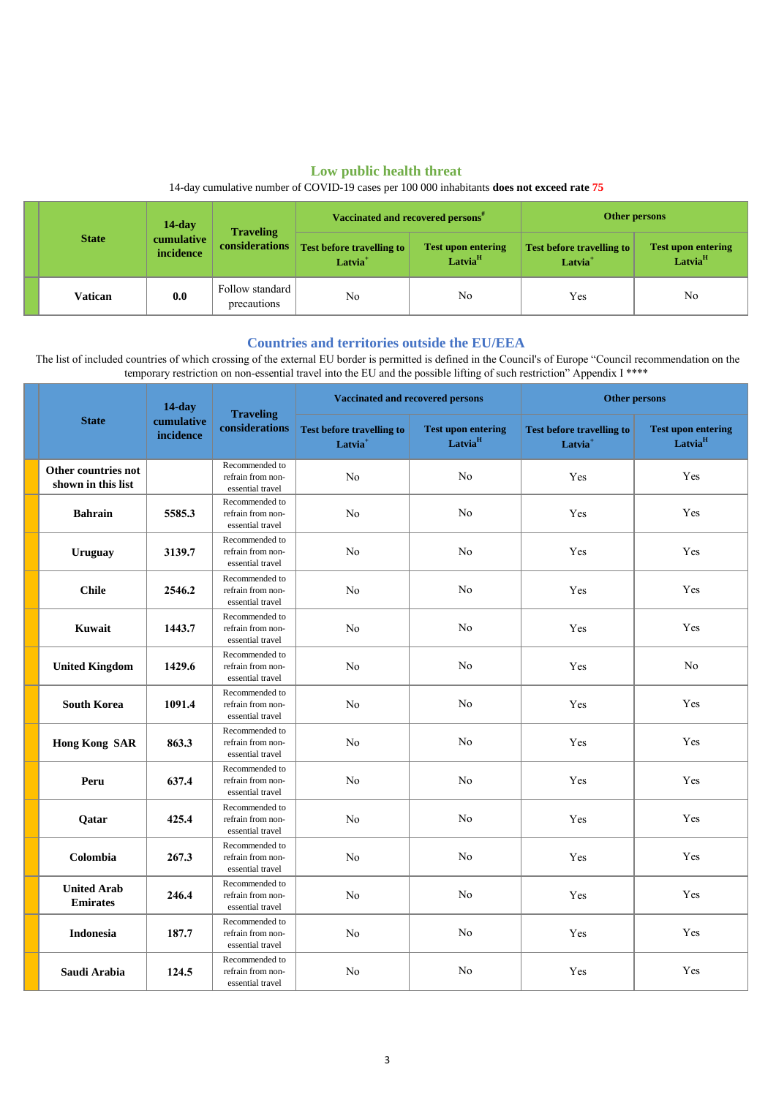# **Low public health threat**

## 14-day cumulative number of COVID-19 cases per 100 000 inhabitants **does not exceed rate 75**

|  | <b>State</b> | $14$ -day               |                                           | Vaccinated and recovered persons <sup>#</sup>             |                                                  | Other persons                                           |                                                  |
|--|--------------|-------------------------|-------------------------------------------|-----------------------------------------------------------|--------------------------------------------------|---------------------------------------------------------|--------------------------------------------------|
|  |              | cumulative<br>incidence | <b>Traveling</b><br><b>considerations</b> | <b>Test before travelling to  </b><br>Latvia <sup>+</sup> | <b>Test upon entering</b><br>Latvia <sup>H</sup> | <b>Test before travelling to</b><br>Latvia <sup>+</sup> | <b>Test upon entering</b><br>Latvia <sup>H</sup> |
|  | Vatican      | 0.0                     | Follow standard<br>precautions            | No                                                        | No                                               | Yes                                                     | No                                               |

### **Countries and territories outside the EU/EEA**

 The list of included countries of which crossing of the external EU border is permitted is defined in the Council's of Europe "Council recommendation on the temporary restriction on non-essential travel into the EU and the possible lifting of such restriction" Appendix I \*\*\*\*

|                                           | $14$ -day               |                                                         | <b>Vaccinated and recovered persons</b>                 |                                                  | <b>Other persons</b>                                    |                                                  |
|-------------------------------------------|-------------------------|---------------------------------------------------------|---------------------------------------------------------|--------------------------------------------------|---------------------------------------------------------|--------------------------------------------------|
| <b>State</b>                              | cumulative<br>incidence | <b>Traveling</b><br>considerations                      | <b>Test before travelling to</b><br>Latvia <sup>+</sup> | <b>Test upon entering</b><br>Latvia <sup>H</sup> | <b>Test before travelling to</b><br>Latvia <sup>+</sup> | <b>Test upon entering</b><br>Latvia <sup>H</sup> |
| Other countries not<br>shown in this list |                         | Recommended to<br>refrain from non-<br>essential travel | No                                                      | No                                               | Yes                                                     | <b>Yes</b>                                       |
| <b>Bahrain</b>                            | 5585.3                  | Recommended to<br>refrain from non-<br>essential travel | No                                                      | N <sub>o</sub>                                   | Yes                                                     | Yes                                              |
| <b>Uruguay</b>                            | 3139.7                  | Recommended to<br>refrain from non-<br>essential travel | No                                                      | $\rm No$                                         | Yes                                                     | Yes                                              |
| <b>Chile</b>                              | 2546.2                  | Recommended to<br>refrain from non-<br>essential travel | N <sub>o</sub>                                          | No                                               | Yes                                                     | Yes                                              |
| Kuwait                                    | 1443.7                  | Recommended to<br>refrain from non-<br>essential travel | N <sub>o</sub>                                          | $\rm No$                                         | Yes                                                     | Yes                                              |
| <b>United Kingdom</b>                     | 1429.6                  | Recommended to<br>refrain from non-<br>essential travel | N <sub>o</sub>                                          | No                                               | Yes                                                     | No                                               |
| <b>South Korea</b>                        | 1091.4                  | Recommended to<br>refrain from non-<br>essential travel | No                                                      | No                                               | Yes                                                     | Yes                                              |
| <b>Hong Kong SAR</b>                      | 863.3                   | Recommended to<br>refrain from non-<br>essential travel | No                                                      | $\rm No$                                         | Yes                                                     | Yes                                              |
| Peru                                      | 637.4                   | Recommended to<br>refrain from non-<br>essential travel | N <sub>o</sub>                                          | No                                               | Yes                                                     | Yes                                              |
| Qatar                                     | 425.4                   | Recommended to<br>refrain from non-<br>essential travel | No                                                      | $\rm No$                                         | Yes                                                     | Yes                                              |
| Colombia                                  | 267.3                   | Recommended to<br>refrain from non-<br>essential travel | No                                                      | $\rm No$                                         | Yes                                                     | Yes                                              |
| <b>United Arab</b><br><b>Emirates</b>     | 246.4                   | Recommended to<br>refrain from non-<br>essential travel | N <sub>o</sub>                                          | No                                               | Yes                                                     | Yes                                              |
| <b>Indonesia</b>                          | 187.7                   | Recommended to<br>refrain from non-<br>essential travel | N <sub>o</sub>                                          | N <sub>o</sub>                                   | Yes                                                     | Yes                                              |
| Saudi Arabia                              | 124.5                   | Recommended to<br>refrain from non-<br>essential travel | N <sub>o</sub>                                          | No                                               | Yes                                                     | Yes                                              |